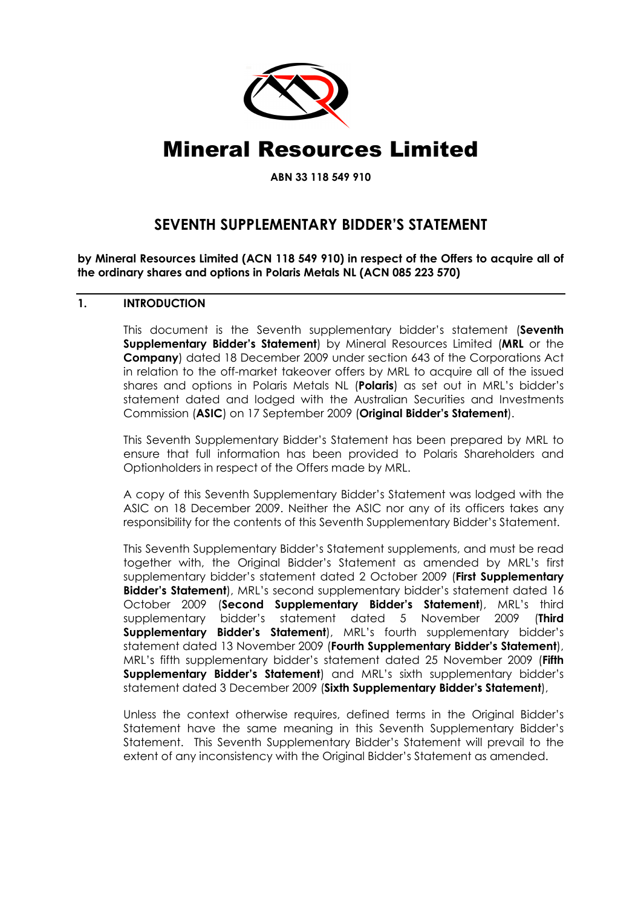

# Mineral Resources Limited

ABN 33 118 549 910

# SEVENTH SUPPLEMENTARY BIDDER'S STATEMENT

by Mineral Resources Limited (ACN 118 549 910) in respect of the Offers to acquire all of the ordinary shares and options in Polaris Metals NL (ACN 085 223 570)

# 1. INTRODUCTION

This document is the Seventh supplementary bidder's statement (Seventh Supplementary Bidder's Statement) by Mineral Resources Limited (MRL or the Company) dated 18 December 2009 under section 643 of the Corporations Act in relation to the off-market takeover offers by MRL to acquire all of the issued shares and options in Polaris Metals NL (Polaris) as set out in MRL's bidder's statement dated and lodged with the Australian Securities and Investments Commission (ASIC) on 17 September 2009 (Original Bidder's Statement).

This Seventh Supplementary Bidder's Statement has been prepared by MRL to ensure that full information has been provided to Polaris Shareholders and Optionholders in respect of the Offers made by MRL.

A copy of this Seventh Supplementary Bidder's Statement was lodged with the ASIC on 18 December 2009. Neither the ASIC nor any of its officers takes any responsibility for the contents of this Seventh Supplementary Bidder's Statement.

This Seventh Supplementary Bidder's Statement supplements, and must be read together with, the Original Bidder's Statement as amended by MRL's first supplementary bidder's statement dated 2 October 2009 (First Supplementary Bidder's Statement), MRL's second supplementary bidder's statement dated 16 October 2009 (Second Supplementary Bidder's Statement), MRL's third supplementary bidder's statement dated 5 November 2009 (Third Supplementary Bidder's Statement), MRL's fourth supplementary bidder's statement dated 13 November 2009 (Fourth Supplementary Bidder's Statement), MRL's fifth supplementary bidder's statement dated 25 November 2009 (Fifth Supplementary Bidder's Statement) and MRL's sixth supplementary bidder's statement dated 3 December 2009 (Sixth Supplementary Bidder's Statement),

Unless the context otherwise requires, defined terms in the Original Bidder's Statement have the same meaning in this Seventh Supplementary Bidder's Statement. This Seventh Supplementary Bidder's Statement will prevail to the extent of any inconsistency with the Original Bidder's Statement as amended.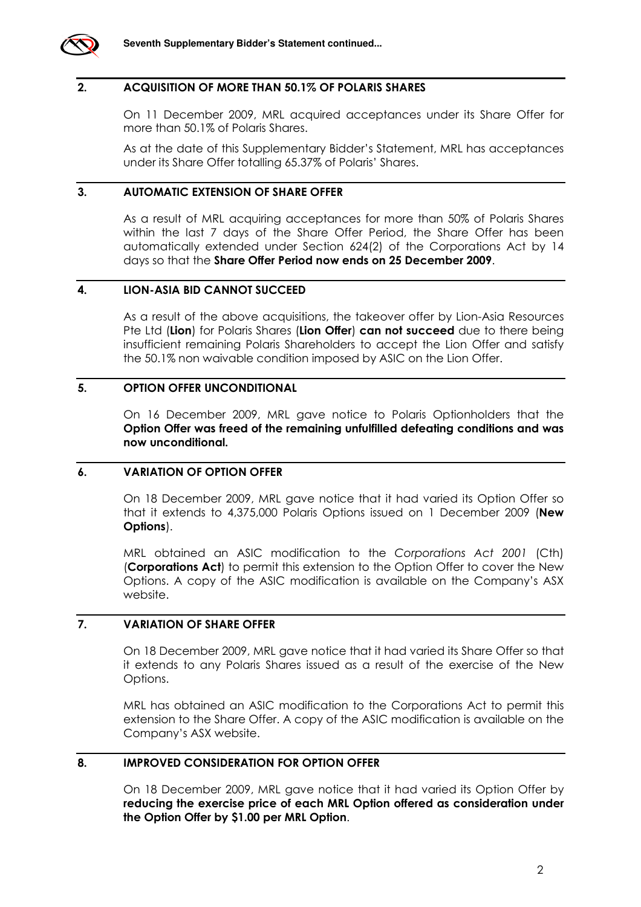

#### 2. ACQUISITION OF MORE THAN 50.1% OF POLARIS SHARES

On 11 December 2009, MRL acquired acceptances under its Share Offer for more than 50.1% of Polaris Shares.

As at the date of this Supplementary Bidder's Statement, MRL has acceptances under its Share Offer totalling 65.37% of Polaris' Shares.

#### 3. AUTOMATIC EXTENSION OF SHARE OFFER

As a result of MRL acquiring acceptances for more than 50% of Polaris Shares within the last 7 days of the Share Offer Period, the Share Offer has been automatically extended under Section 624(2) of the Corporations Act by 14 days so that the Share Offer Period now ends on 25 December 2009.

## 4. LION-ASIA BID CANNOT SUCCEED

As a result of the above acquisitions, the takeover offer by Lion-Asia Resources Pte Ltd (Lion) for Polaris Shares (Lion Offer) can not succeed due to there being insufficient remaining Polaris Shareholders to accept the Lion Offer and satisfy the 50.1% non waivable condition imposed by ASIC on the Lion Offer.

#### 5. OPTION OFFER UNCONDITIONAL

On 16 December 2009, MRL gave notice to Polaris Optionholders that the Option Offer was freed of the remaining unfulfilled defeating conditions and was now unconditional.

#### 6. VARIATION OF OPTION OFFER

On 18 December 2009, MRL gave notice that it had varied its Option Offer so that it extends to 4,375,000 Polaris Options issued on 1 December 2009 (New Options).

MRL obtained an ASIC modification to the Corporations Act 2001 (Cth) (Corporations Act) to permit this extension to the Option Offer to cover the New Options. A copy of the ASIC modification is available on the Company's ASX website.

## 7. VARIATION OF SHARE OFFER

On 18 December 2009, MRL gave notice that it had varied its Share Offer so that it extends to any Polaris Shares issued as a result of the exercise of the New Options.

MRL has obtained an ASIC modification to the Corporations Act to permit this extension to the Share Offer. A copy of the ASIC modification is available on the Company's ASX website.

# 8. IMPROVED CONSIDERATION FOR OPTION OFFER

On 18 December 2009, MRL gave notice that it had varied its Option Offer by reducing the exercise price of each MRL Option offered as consideration under the Option Offer by \$1.00 per MRL Option.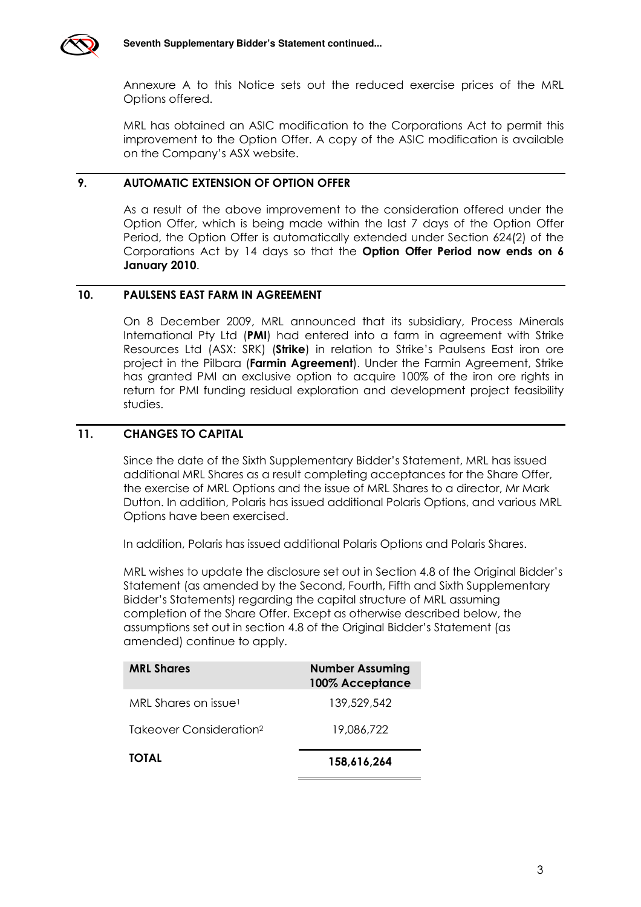

Annexure A to this Notice sets out the reduced exercise prices of the MRL Options offered.

MRL has obtained an ASIC modification to the Corporations Act to permit this improvement to the Option Offer. A copy of the ASIC modification is available on the Company's ASX website.

# 9. AUTOMATIC EXTENSION OF OPTION OFFER

As a result of the above improvement to the consideration offered under the Option Offer, which is being made within the last 7 days of the Option Offer Period, the Option Offer is automatically extended under Section 624(2) of the Corporations Act by 14 days so that the Option Offer Period now ends on 6 January 2010.

#### 10. PAULSENS EAST FARM IN AGREEMENT

On 8 December 2009, MRL announced that its subsidiary, Process Minerals International Pty Ltd (PMI) had entered into a farm in agreement with Strike Resources Ltd (ASX: SRK) (Strike) in relation to Strike's Paulsens East iron ore project in the Pilbara (Farmin Agreement). Under the Farmin Agreement, Strike has granted PMI an exclusive option to acquire 100% of the iron ore rights in return for PMI funding residual exploration and development project feasibility studies.

# 11. CHANGES TO CAPITAL

Since the date of the Sixth Supplementary Bidder's Statement, MRL has issued additional MRL Shares as a result completing acceptances for the Share Offer, the exercise of MRL Options and the issue of MRL Shares to a director, Mr Mark Dutton. In addition, Polaris has issued additional Polaris Options, and various MRL Options have been exercised.

In addition, Polaris has issued additional Polaris Options and Polaris Shares.

MRL wishes to update the disclosure set out in Section 4.8 of the Original Bidder's Statement (as amended by the Second, Fourth, Fifth and Sixth Supplementary Bidder's Statements) regarding the capital structure of MRL assuming completion of the Share Offer. Except as otherwise described below, the assumptions set out in section 4.8 of the Original Bidder's Statement (as amended) continue to apply.

| <b>MRL Shares</b>                   | <b>Number Assuming</b><br>100% Acceptance |
|-------------------------------------|-------------------------------------------|
| MRL Shares on issue <sup>1</sup>    | 139,529,542                               |
| Takeover Consideration <sup>2</sup> | 19,086,722                                |
| <b>TOTAL</b>                        | 158,616,264                               |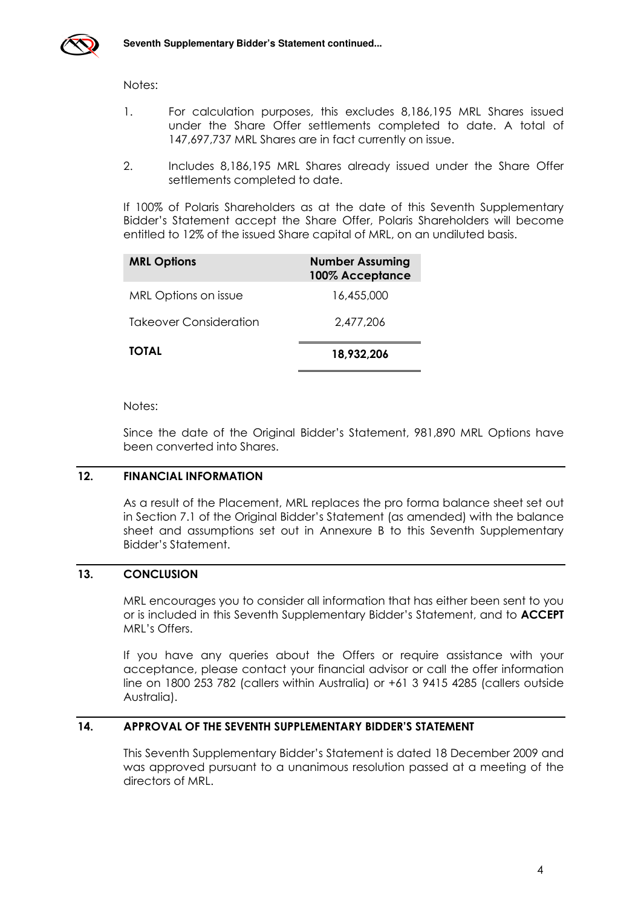

Notes:

- 1. For calculation purposes, this excludes 8,186,195 MRL Shares issued under the Share Offer settlements completed to date. A total of 147,697,737 MRL Shares are in fact currently on issue.
- 2. Includes 8,186,195 MRL Shares already issued under the Share Offer settlements completed to date.

If 100% of Polaris Shareholders as at the date of this Seventh Supplementary Bidder's Statement accept the Share Offer, Polaris Shareholders will become entitled to 12% of the issued Share capital of MRL, on an undiluted basis.

| <b>MRL Options</b>            | <b>Number Assuming</b><br>100% Acceptance |
|-------------------------------|-------------------------------------------|
| MRL Options on issue          | 16,455,000                                |
| <b>Takeover Consideration</b> | 2,477,206                                 |
| <b>TOTAL</b>                  | 18,932,206                                |

Notes:

Since the date of the Original Bidder's Statement, 981,890 MRL Options have been converted into Shares.

#### 12. FINANCIAL INFORMATION

As a result of the Placement, MRL replaces the pro forma balance sheet set out in Section 7.1 of the Original Bidder's Statement (as amended) with the balance sheet and assumptions set out in Annexure B to this Seventh Supplementary Bidder's Statement.

# 13. CONCLUSION

MRL encourages you to consider all information that has either been sent to you or is included in this Seventh Supplementary Bidder's Statement, and to ACCEPT MRL's Offers.

If you have any queries about the Offers or require assistance with your acceptance, please contact your financial advisor or call the offer information line on 1800 253 782 (callers within Australia) or +61 3 9415 4285 (callers outside Australia).

# 14. APPROVAL OF THE SEVENTH SUPPLEMENTARY BIDDER'S STATEMENT

This Seventh Supplementary Bidder's Statement is dated 18 December 2009 and was approved pursuant to a unanimous resolution passed at a meeting of the directors of MRL.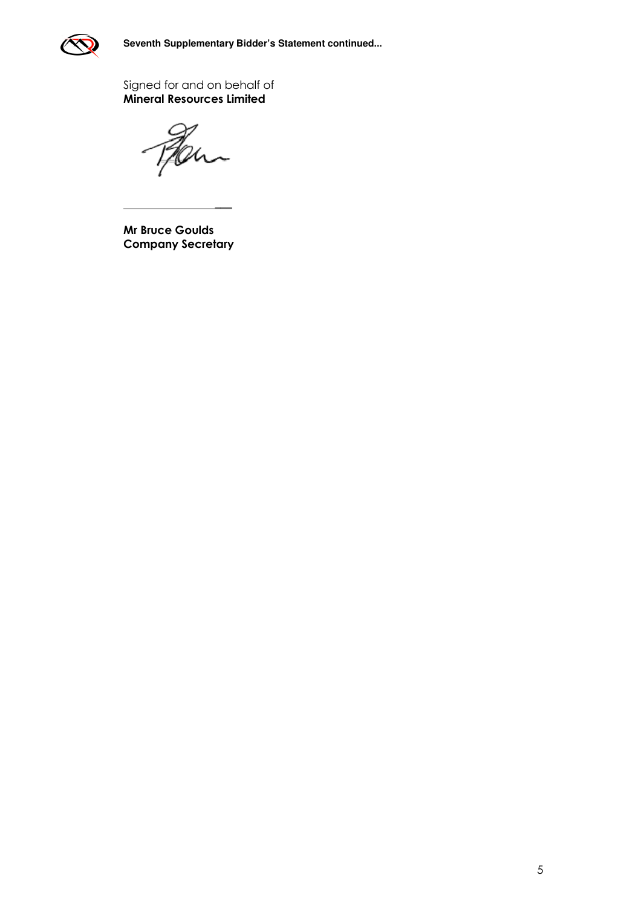

Signed for and on behalf of Mineral Resources Limited

Kan

Mr Bruce Goulds Company Secretary

\_\_\_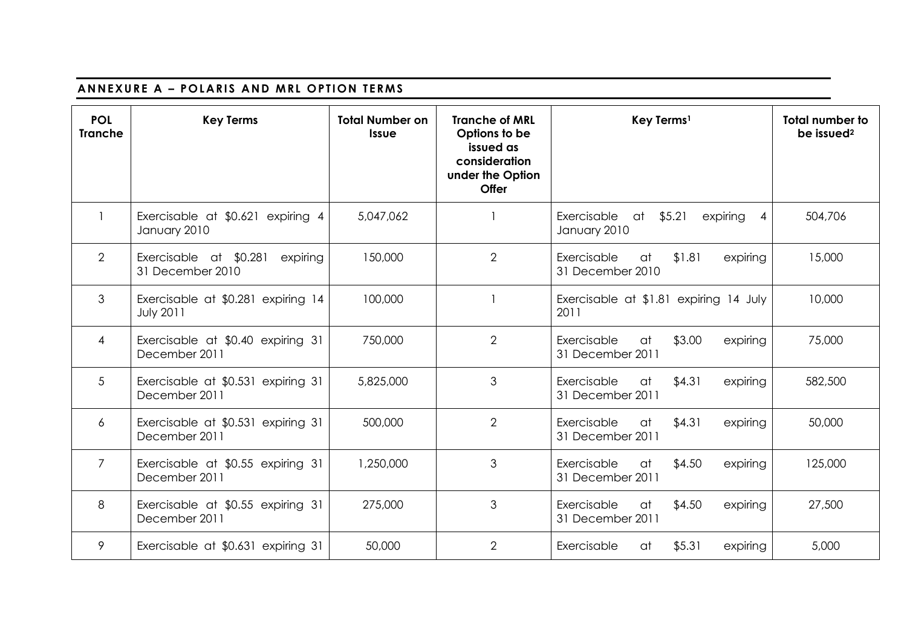# ANNEXURE A - POLARIS AND MRL OPTION TERMS

| <b>POL</b><br><b>Tranche</b> | <b>Key Terms</b>                                       | <b>Total Number on</b><br><b>Issue</b> | <b>Tranche of MRL</b><br>Options to be<br>issued as<br>consideration<br>under the Option<br><b>Offer</b> | Key Terms <sup>1</sup>                                       | <b>Total number to</b><br>be issued <sup>2</sup> |
|------------------------------|--------------------------------------------------------|----------------------------------------|----------------------------------------------------------------------------------------------------------|--------------------------------------------------------------|--------------------------------------------------|
|                              | Exercisable at \$0.621 expiring 4<br>January 2010      | 5,047,062                              |                                                                                                          | \$5.21<br>Exercisable<br>at<br>expiring<br>4<br>January 2010 | 504,706                                          |
| $\overline{2}$               | Exercisable at \$0.281<br>expiring<br>31 December 2010 | 150,000                                | $\overline{2}$                                                                                           | \$1.81<br>expiring<br>Exercisable<br>at<br>31 December 2010  | 15,000                                           |
| 3                            | Exercisable at \$0.281 expiring 14<br><b>July 2011</b> | 100,000                                |                                                                                                          | Exercisable at \$1.81 expiring 14 July<br>2011               | 10,000                                           |
| $\overline{4}$               | Exercisable at \$0.40 expiring 31<br>December 2011     | 750,000                                | $\overline{2}$                                                                                           | \$3.00<br>Exercisable<br>expiring<br>at<br>31 December 2011  | 75,000                                           |
| 5                            | Exercisable at \$0.531 expiring 31<br>December 2011    | 5,825,000                              | 3                                                                                                        | Exercisable<br>\$4.31<br>at<br>expiring<br>31 December 2011  | 582,500                                          |
| 6                            | Exercisable at \$0.531 expiring 31<br>December 2011    | 500,000                                | $\overline{2}$                                                                                           | \$4.31<br>Exercisable<br>expiring<br>at<br>31 December 2011  | 50,000                                           |
| $\mathcal{I}$                | Exercisable at \$0.55 expiring 31<br>December 2011     | 1,250,000                              | 3                                                                                                        | \$4.50<br>Exercisable<br>expiring<br>at<br>31 December 2011  | 125,000                                          |
| 8                            | Exercisable at \$0.55 expiring 31<br>December 2011     | 275,000                                | 3                                                                                                        | \$4.50<br>Exercisable<br>at<br>expiring<br>31 December 2011  | 27,500                                           |
| 9                            | Exercisable at \$0.631 expiring 31                     | 50,000                                 | $\overline{2}$                                                                                           | \$5.31<br>Exercisable<br>expiring<br>at                      | 5,000                                            |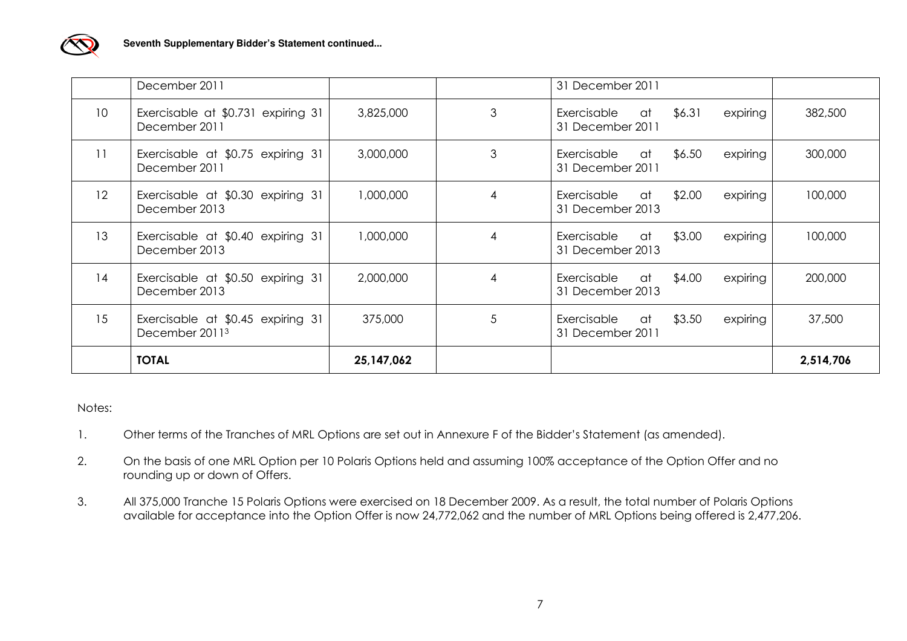

|                 | December 2011                                                   |            |   | 31 December 2011                                              |           |
|-----------------|-----------------------------------------------------------------|------------|---|---------------------------------------------------------------|-----------|
| 10 <sup>1</sup> | Exercisable at \$0.731 expiring 31<br>December 2011             | 3,825,000  | 3 | \$6.31<br>expiring<br>Exercisable<br>at a<br>31 December 2011 | 382,500   |
| 11              | Exercisable at \$0.75 expiring 31<br>December 2011              | 3,000,000  | 3 | \$6.50<br>Exercisable<br>expiring<br>at a<br>31 December 2011 | 300,000   |
| 12 <sup>°</sup> | Exercisable at \$0.30 expiring 31<br>December 2013              | 1,000,000  | 4 | \$2.00<br>Exercisable<br>expiring<br>at a<br>31 December 2013 | 100,000   |
| 13              | Exercisable at \$0.40 expiring 31<br>December 2013              | 1,000,000  | 4 | \$3.00<br>Exercisable<br>expiring<br>at a<br>31 December 2013 | 100,000   |
| 14              | Exercisable at \$0.50 expiring 31<br>December 2013              | 2,000,000  | 4 | expiring<br>Exercisable<br>\$4.00<br>at<br>31 December 2013   | 200,000   |
| 15              | Exercisable at \$0.45 expiring 31<br>December 2011 <sup>3</sup> | 375,000    | 5 | \$3.50<br>Exercisable<br>expiring<br>at<br>31 December 2011   | 37,500    |
|                 | <b>TOTAL</b>                                                    | 25,147,062 |   |                                                               | 2,514,706 |

#### Notes:

- 1. Other terms of the Tranches of MRL Options are set out in Annexure F of the Bidder's Statement (as amended).
- 2. On the basis of one MRL Option per 10 Polaris Options held and assuming 100% acceptance of the Option Offer and no rounding up or down of Offers.
- 3. All 375,000 Tranche 15 Polaris Options were exercised on 18 December 2009. As a result, the total number of Polaris Options available for acceptance into the Option Offer is now 24,772,062 and the number of MRL Options being offered is 2,477,206.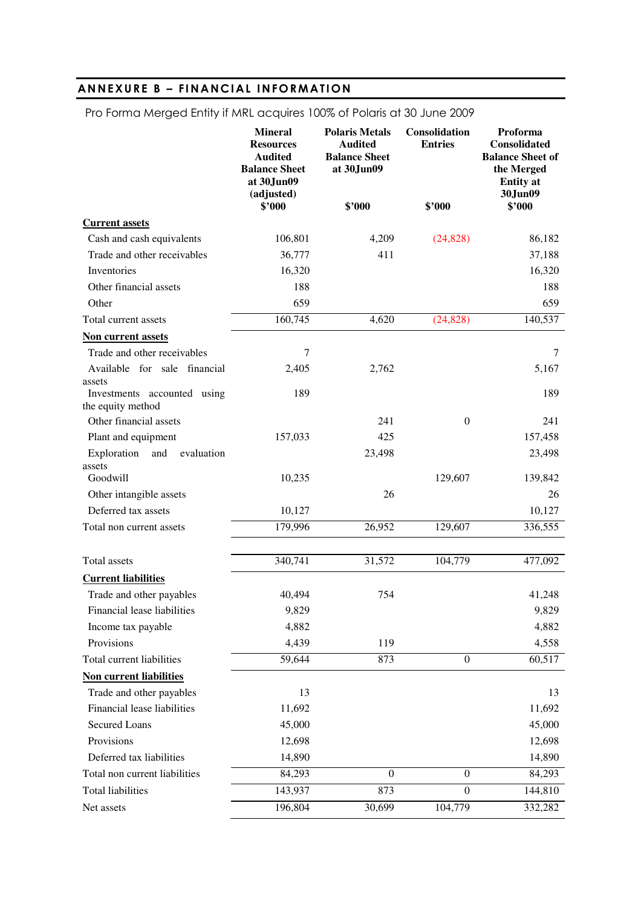# ANNEXURE B - FINANCIAL INFORMATION

|                             | <b>Mineral</b><br><b>Resources</b><br><b>Audited</b><br><b>Balance Sheet</b><br>at 30.Jun09<br>(adjusted)<br>\$2000 | <b>Polaris Metals</b><br><b>Audited</b><br><b>Balance Sheet</b><br>at 30.Jun09<br>\$2000 | <b>Consolidation</b><br><b>Entries</b><br>\$2000 | <b>Proforma</b><br><b>Consolidated</b><br><b>Balance Sheet of</b><br>the Merged<br><b>Entity</b> at<br>30Jun09<br>\$2000 |
|-----------------------------|---------------------------------------------------------------------------------------------------------------------|------------------------------------------------------------------------------------------|--------------------------------------------------|--------------------------------------------------------------------------------------------------------------------------|
| <b>Current assets</b>       |                                                                                                                     |                                                                                          |                                                  |                                                                                                                          |
| Cash and cash equivalents   | 106,801                                                                                                             | 4,209                                                                                    | (24, 828)                                        | 86,182                                                                                                                   |
| Trade and other receivables | 36,777                                                                                                              | 411                                                                                      |                                                  | 37,188                                                                                                                   |
| <b>Inventories</b>          | 16,320                                                                                                              |                                                                                          |                                                  | 16,320                                                                                                                   |
| Other financial assets      | 188                                                                                                                 |                                                                                          |                                                  | 188                                                                                                                      |
| Other                       | 659                                                                                                                 |                                                                                          |                                                  | 659                                                                                                                      |
| Total current assets        | 160,745                                                                                                             | 4,620                                                                                    | (24, 828)                                        | 140,537                                                                                                                  |
| Non ournant accots          |                                                                                                                     |                                                                                          |                                                  |                                                                                                                          |

# Pro Forma Merged Entity if MRL acquires 100% of Polaris at 30 June 2009

| Non current assets                               |         |              |                  |         |
|--------------------------------------------------|---------|--------------|------------------|---------|
| Trade and other receivables                      | 7       |              |                  | 7       |
| Available for sale financial<br>assets           | 2,405   | 2,762        |                  | 5,167   |
| Investments accounted using<br>the equity method | 189     |              |                  | 189     |
| Other financial assets                           |         | 241          | $\mathbf{0}$     | 241     |
| Plant and equipment                              | 157,033 | 425          |                  | 157,458 |
| Exploration<br>and<br>evaluation<br>assets       |         | 23,498       |                  | 23,498  |
| Goodwill                                         | 10,235  |              | 129,607          | 139,842 |
| Other intangible assets                          |         | 26           |                  | 26      |
| Deferred tax assets                              | 10,127  |              |                  | 10,127  |
| Total non current assets                         | 179,996 | 26,952       | 129,607          | 336,555 |
| <b>Total assets</b>                              | 340,741 | 31,572       | 104,779          | 477,092 |
| <b>Current liabilities</b>                       |         |              |                  |         |
| Trade and other payables                         | 40,494  | 754          |                  | 41,248  |
| Financial lease liabilities                      | 9,829   |              |                  | 9,829   |
| Income tax payable                               | 4,882   |              |                  | 4,882   |
| Provisions                                       | 4,439   | 119          |                  | 4,558   |
| Total current liabilities                        | 59,644  | 873          | $\boldsymbol{0}$ | 60,517  |
| <b>Non current liabilities</b>                   |         |              |                  |         |
| Trade and other payables                         | 13      |              |                  | 13      |
| Financial lease liabilities                      | 11,692  |              |                  | 11,692  |
| <b>Secured Loans</b>                             | 45,000  |              |                  | 45,000  |
| Provisions                                       | 12,698  |              |                  | 12,698  |
| Deferred tax liabilities                         | 14,890  |              |                  | 14,890  |
| Total non current liabilities                    | 84,293  | $\mathbf{0}$ | $\mathbf{0}$     | 84,293  |
| <b>Total liabilities</b>                         | 143,937 | 873          | $\boldsymbol{0}$ | 144,810 |

Net assets 196,804 30,699 104,779 332,282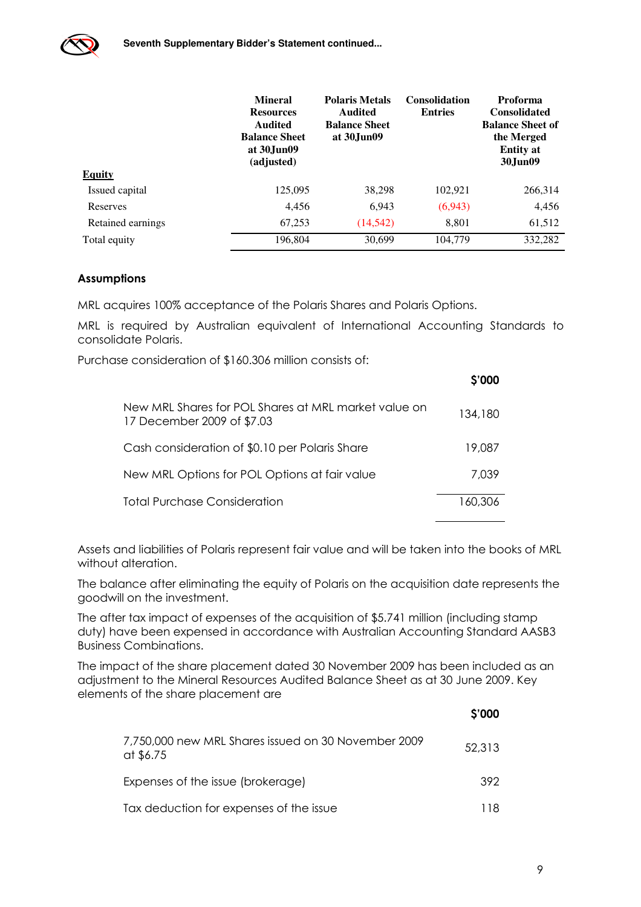

|                   | <b>Mineral</b><br><b>Resources</b><br>Audited<br><b>Balance Sheet</b><br>at 30. June 09<br>(adjusted) | <b>Polaris Metals</b><br>Audited<br><b>Balance Sheet</b><br>at 30. June 09 | <b>Consolidation</b><br><b>Entries</b> | <b>Proforma</b><br><b>Consolidated</b><br><b>Balance Sheet of</b><br>the Merged<br><b>Entity</b> at<br>30Jun09 |
|-------------------|-------------------------------------------------------------------------------------------------------|----------------------------------------------------------------------------|----------------------------------------|----------------------------------------------------------------------------------------------------------------|
| <b>Equity</b>     |                                                                                                       |                                                                            |                                        |                                                                                                                |
| Issued capital    | 125,095                                                                                               | 38,298                                                                     | 102,921                                | 266,314                                                                                                        |
| Reserves          | 4,456                                                                                                 | 6.943                                                                      | (6,943)                                | 4,456                                                                                                          |
| Retained earnings | 67,253                                                                                                | (14, 542)                                                                  | 8,801                                  | 61,512                                                                                                         |
| Total equity      | 196.804                                                                                               | 30,699                                                                     | 104,779                                | 332,282                                                                                                        |

#### Assumptions

MRL acquires 100% acceptance of the Polaris Shares and Polaris Options.

MRL is required by Australian equivalent of International Accounting Standards to consolidate Polaris.

Purchase consideration of \$160.306 million consists of:

|                                                                                    | \$'000  |
|------------------------------------------------------------------------------------|---------|
| New MRL Shares for POL Shares at MRL market value on<br>17 December 2009 of \$7.03 | 134,180 |
| Cash consideration of \$0.10 per Polaris Share                                     | 19,087  |
| New MRL Options for POL Options at fair value                                      | 7.039   |
| Total Purchase Consideration                                                       | 160,306 |

Assets and liabilities of Polaris represent fair value and will be taken into the books of MRL without alteration.

The balance after eliminating the equity of Polaris on the acquisition date represents the goodwill on the investment.

The after tax impact of expenses of the acquisition of \$5.741 million (including stamp duty) have been expensed in accordance with Australian Accounting Standard AASB3 Business Combinations.

The impact of the share placement dated 30 November 2009 has been included as an adjustment to the Mineral Resources Audited Balance Sheet as at 30 June 2009. Key elements of the share placement are

| 7,750,000 new MRL Shares issued on 30 November 2009<br>at \$6.75 | 52,313 |
|------------------------------------------------------------------|--------|
| Expenses of the issue (brokerage)                                | 392    |
| Tax deduction for expenses of the issue                          | 118    |

\$'000